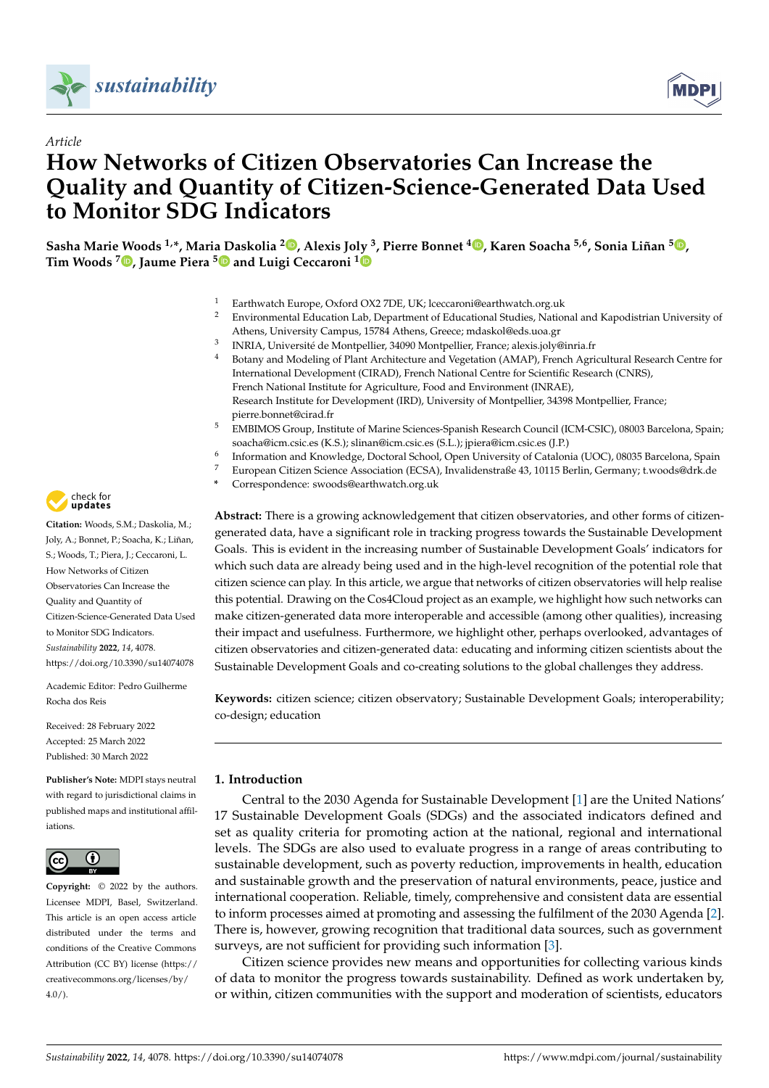

*Article*



# **How Networks of Citizen Observatories Can Increase the Quality and Quantity of Citizen-Science-Generated Data Used to Monitor SDG Indicators**

**Sasha Marie Woods 1,\*, Maria Daskolia <sup>2</sup> [,](https://orcid.org/0000-0001-7350-948X) Alexis Joly <sup>3</sup> , Pierre Bonnet <sup>4</sup> [,](https://orcid.org/0000-0002-2828-4389) Karen Soacha 5,6, Sonia Liñan <sup>5</sup> [,](https://orcid.org/0000-0003-0431-4683) Tim Woods <sup>7</sup> [,](https://orcid.org/0000-0002-2663-3848) Jaume Piera [5](https://orcid.org/0000-0001-5818-9836) and Luigi Ceccaroni [1](https://orcid.org/0000-0002-3116-0811)**

- Earthwatch Europe, Oxford OX2 7DE, UK; lceccaroni@earthwatch.org.uk
- <sup>2</sup> Environmental Education Lab, Department of Educational Studies, National and Kapodistrian University of Athens, University Campus, 15784 Athens, Greece; mdaskol@eds.uoa.gr
- 3 INRIA, Université de Montpellier, 34090 Montpellier, France; alexis.joly@inria.fr
- <sup>4</sup> Botany and Modeling of Plant Architecture and Vegetation (AMAP), French Agricultural Research Centre for International Development (CIRAD), French National Centre for Scientific Research (CNRS), French National Institute for Agriculture, Food and Environment (INRAE), Research Institute for Development (IRD), University of Montpellier, 34398 Montpellier, France; pierre.bonnet@cirad.fr
- <sup>5</sup> EMBIMOS Group, Institute of Marine Sciences-Spanish Research Council (ICM-CSIC), 08003 Barcelona, Spain; soacha@icm.csic.es (K.S.); slinan@icm.csic.es (S.L.); jpiera@icm.csic.es (J.P.)
- 6 Information and Knowledge, Doctoral School, Open University of Catalonia (UOC), 08035 Barcelona, Spain
- <sup>7</sup> European Citizen Science Association (ECSA), Invalidenstraße 43, 10115 Berlin, Germany; t.woods@drk.de
	- **\*** Correspondence: swoods@earthwatch.org.uk

**Abstract:** There is a growing acknowledgement that citizen observatories, and other forms of citizengenerated data, have a significant role in tracking progress towards the Sustainable Development Goals. This is evident in the increasing number of Sustainable Development Goals' indicators for which such data are already being used and in the high-level recognition of the potential role that citizen science can play. In this article, we argue that networks of citizen observatories will help realise this potential. Drawing on the Cos4Cloud project as an example, we highlight how such networks can make citizen-generated data more interoperable and accessible (among other qualities), increasing their impact and usefulness. Furthermore, we highlight other, perhaps overlooked, advantages of citizen observatories and citizen-generated data: educating and informing citizen scientists about the Sustainable Development Goals and co-creating solutions to the global challenges they address.

**Keywords:** citizen science; citizen observatory; Sustainable Development Goals; interoperability; co-design; education

## <span id="page-0-0"></span>**1. Introduction**

Central to the 2030 Agenda for Sustainable Development [\[1\]](#page-14-0) are the United Nations' 17 Sustainable Development Goals (SDGs) and the associated indicators defined and set as quality criteria for promoting action at the national, regional and international levels. The SDGs are also used to evaluate progress in a range of areas contributing to sustainable development, such as poverty reduction, improvements in health, education and sustainable growth and the preservation of natural environments, peace, justice and international cooperation. Reliable, timely, comprehensive and consistent data are essential to inform processes aimed at promoting and assessing the fulfilment of the 2030 Agenda [\[2\]](#page-14-1). There is, however, growing recognition that traditional data sources, such as government surveys, are not sufficient for providing such information [\[3\]](#page-14-2).

Citizen science provides new means and opportunities for collecting various kinds of data to monitor the progress towards sustainability. Defined as work undertaken by, or within, citizen communities with the support and moderation of scientists, educators



**Citation:** Woods, S.M.; Daskolia, M.; Joly, A.; Bonnet, P.; Soacha, K.; Liñan, S.; Woods, T.; Piera, J.; Ceccaroni, L. How Networks of Citizen Observatories Can Increase the Quality and Quantity of Citizen-Science-Generated Data Used to Monitor SDG Indicators. *Sustainability* **2022**, *14*, 4078. <https://doi.org/10.3390/su14074078>

Academic Editor: Pedro Guilherme Rocha dos Reis

Received: 28 February 2022 Accepted: 25 March 2022 Published: 30 March 2022

**Publisher's Note:** MDPI stays neutral with regard to jurisdictional claims in published maps and institutional affiliations.



**Copyright:** © 2022 by the authors. Licensee MDPI, Basel, Switzerland. This article is an open access article distributed under the terms and conditions of the Creative Commons Attribution (CC BY) license [\(https://](https://creativecommons.org/licenses/by/4.0/) [creativecommons.org/licenses/by/](https://creativecommons.org/licenses/by/4.0/)  $4.0/$ ).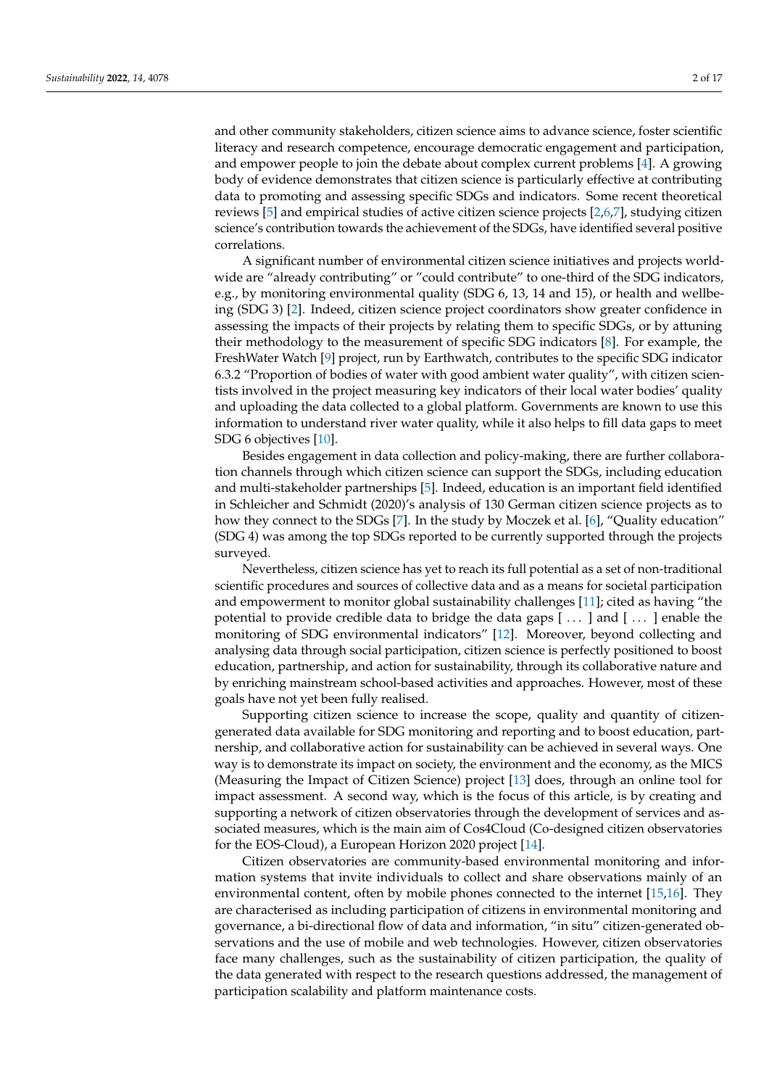and other community stakeholders, citizen science aims to advance science, foster scientific literacy and research competence, encourage democratic engagement and participation, and empower people to join the debate about complex current problems [\[4\]](#page-14-3). A growing body of evidence demonstrates that citizen science is particularly effective at contributing data to promoting and assessing specific SDGs and indicators. Some recent theoretical reviews [\[5\]](#page-15-0) and empirical studies of active citizen science projects [\[2,](#page-14-1)[6,](#page-15-1)[7\]](#page-15-2), studying citizen science's contribution towards the achievement of the SDGs, have identified several positive correlations.

A significant number of environmental citizen science initiatives and projects worldwide are "already contributing" or "could contribute" to one-third of the SDG indicators, e.g., by monitoring environmental quality (SDG 6, 13, 14 and 15), or health and wellbeing (SDG 3) [\[2\]](#page-14-1). Indeed, citizen science project coordinators show greater confidence in assessing the impacts of their projects by relating them to specific SDGs, or by attuning their methodology to the measurement of specific SDG indicators [\[8\]](#page-15-3). For example, the FreshWater Watch [\[9\]](#page-15-4) project, run by Earthwatch, contributes to the specific SDG indicator 6.3.2 "Proportion of bodies of water with good ambient water quality", with citizen scientists involved in the project measuring key indicators of their local water bodies' quality and uploading the data collected to a global platform. Governments are known to use this information to understand river water quality, while it also helps to fill data gaps to meet SDG 6 objectives [\[10\]](#page-15-5).

Besides engagement in data collection and policy-making, there are further collaboration channels through which citizen science can support the SDGs, including education and multi-stakeholder partnerships [\[5\]](#page-15-0). Indeed, education is an important field identified in Schleicher and Schmidt (2020)'s analysis of 130 German citizen science projects as to how they connect to the SDGs [\[7\]](#page-15-2). In the study by Moczek et al. [\[6\]](#page-15-1), "Quality education" (SDG 4) was among the top SDGs reported to be currently supported through the projects surveyed.

Nevertheless, citizen science has yet to reach its full potential as a set of non-traditional scientific procedures and sources of collective data and as a means for societal participation and empowerment to monitor global sustainability challenges [\[11\]](#page-15-6); cited as having "the potential to provide credible data to bridge the data gaps [ . . . ] and [ . . . ] enable the monitoring of SDG environmental indicators" [\[12\]](#page-15-7). Moreover, beyond collecting and analysing data through social participation, citizen science is perfectly positioned to boost education, partnership, and action for sustainability, through its collaborative nature and by enriching mainstream school-based activities and approaches. However, most of these goals have not yet been fully realised.

Supporting citizen science to increase the scope, quality and quantity of citizengenerated data available for SDG monitoring and reporting and to boost education, partnership, and collaborative action for sustainability can be achieved in several ways. One way is to demonstrate its impact on society, the environment and the economy, as the MICS (Measuring the Impact of Citizen Science) project [\[13\]](#page-15-8) does, through an online tool for impact assessment. A second way, which is the focus of this article, is by creating and supporting a network of citizen observatories through the development of services and associated measures, which is the main aim of Cos4Cloud (Co-designed citizen observatories for the EOS-Cloud), a European Horizon 2020 project [\[14\]](#page-15-9).

Citizen observatories are community-based environmental monitoring and information systems that invite individuals to collect and share observations mainly of an environmental content, often by mobile phones connected to the internet [\[15](#page-15-10)[,16\]](#page-15-11). They are characterised as including participation of citizens in environmental monitoring and governance, a bi-directional flow of data and information, "in situ" citizen-generated observations and the use of mobile and web technologies. However, citizen observatories face many challenges, such as the sustainability of citizen participation, the quality of the data generated with respect to the research questions addressed, the management of participation scalability and platform maintenance costs.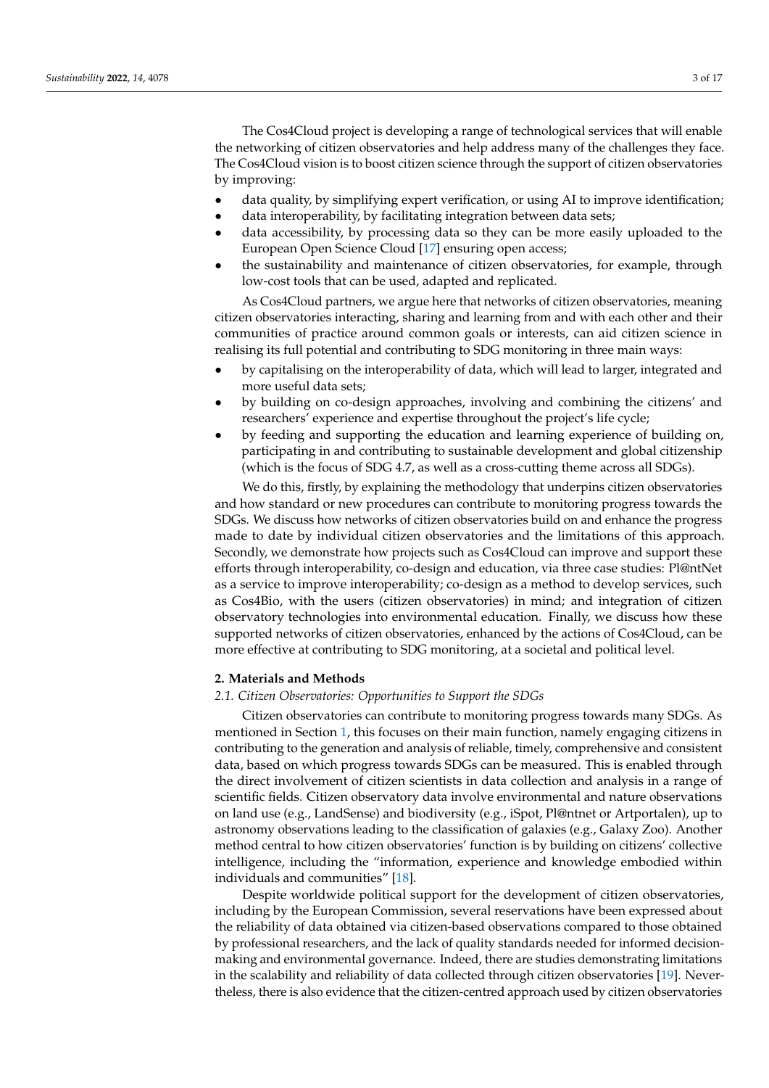The Cos4Cloud project is developing a range of technological services that will enable the networking of citizen observatories and help address many of the challenges they face. The Cos4Cloud vision is to boost citizen science through the support of citizen observatories by improving:

- data quality, by simplifying expert verification, or using AI to improve identification;
- data interoperability, by facilitating integration between data sets;
- data accessibility, by processing data so they can be more easily uploaded to the European Open Science Cloud [\[17\]](#page-15-12) ensuring open access;
- the sustainability and maintenance of citizen observatories, for example, through low-cost tools that can be used, adapted and replicated.

As Cos4Cloud partners, we argue here that networks of citizen observatories, meaning citizen observatories interacting, sharing and learning from and with each other and their communities of practice around common goals or interests, can aid citizen science in realising its full potential and contributing to SDG monitoring in three main ways:

- by capitalising on the interoperability of data, which will lead to larger, integrated and more useful data sets;
- by building on co-design approaches, involving and combining the citizens' and researchers' experience and expertise throughout the project's life cycle;
- by feeding and supporting the education and learning experience of building on, participating in and contributing to sustainable development and global citizenship (which is the focus of SDG 4.7, as well as a cross-cutting theme across all SDGs).

We do this, firstly, by explaining the methodology that underpins citizen observatories and how standard or new procedures can contribute to monitoring progress towards the SDGs. We discuss how networks of citizen observatories build on and enhance the progress made to date by individual citizen observatories and the limitations of this approach. Secondly, we demonstrate how projects such as Cos4Cloud can improve and support these efforts through interoperability, co-design and education, via three case studies: Pl@ntNet as a service to improve interoperability; co-design as a method to develop services, such as Cos4Bio, with the users (citizen observatories) in mind; and integration of citizen observatory technologies into environmental education. Finally, we discuss how these supported networks of citizen observatories, enhanced by the actions of Cos4Cloud, can be more effective at contributing to SDG monitoring, at a societal and political level.

# **2. Materials and Methods**

#### *2.1. Citizen Observatories: Opportunities to Support the SDGs*

Citizen observatories can contribute to monitoring progress towards many SDGs. As mentioned in Section [1,](#page-0-0) this focuses on their main function, namely engaging citizens in contributing to the generation and analysis of reliable, timely, comprehensive and consistent data, based on which progress towards SDGs can be measured. This is enabled through the direct involvement of citizen scientists in data collection and analysis in a range of scientific fields. Citizen observatory data involve environmental and nature observations on land use (e.g., LandSense) and biodiversity (e.g., iSpot, Pl@ntnet or Artportalen), up to astronomy observations leading to the classification of galaxies (e.g., Galaxy Zoo). Another method central to how citizen observatories' function is by building on citizens' collective intelligence, including the "information, experience and knowledge embodied within individuals and communities" [\[18\]](#page-15-13).

Despite worldwide political support for the development of citizen observatories, including by the European Commission, several reservations have been expressed about the reliability of data obtained via citizen-based observations compared to those obtained by professional researchers, and the lack of quality standards needed for informed decisionmaking and environmental governance. Indeed, there are studies demonstrating limitations in the scalability and reliability of data collected through citizen observatories [\[19\]](#page-15-14). Nevertheless, there is also evidence that the citizen-centred approach used by citizen observatories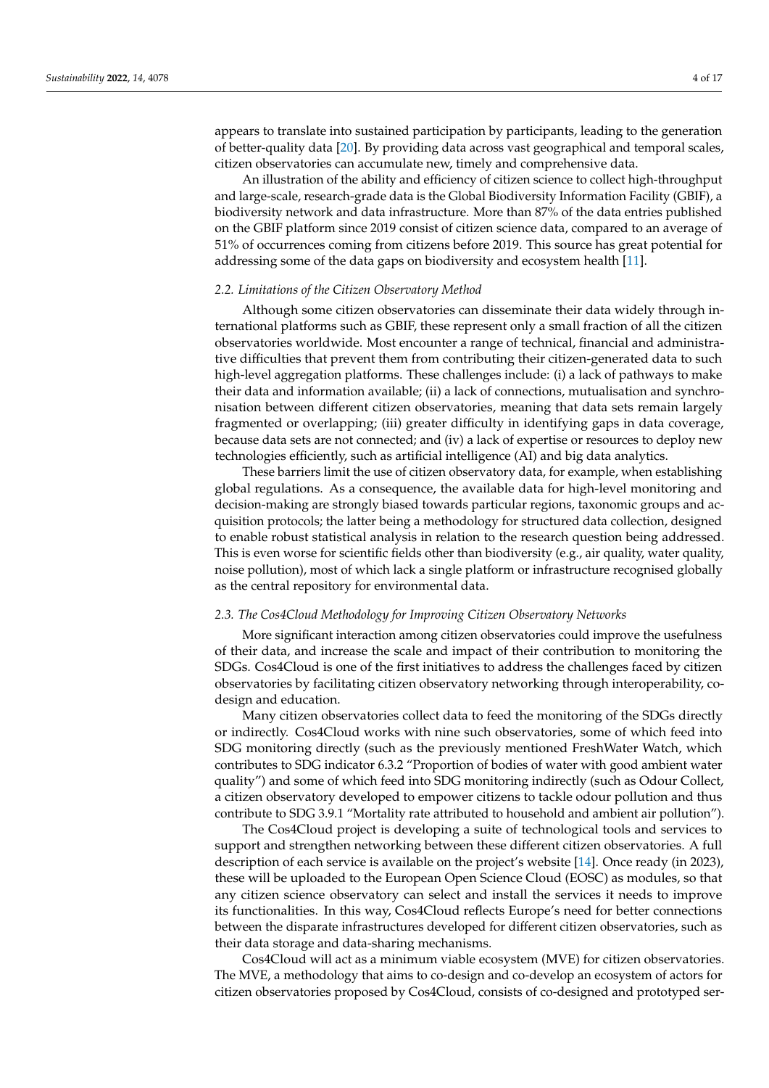appears to translate into sustained participation by participants, leading to the generation of better-quality data [\[20\]](#page-15-15). By providing data across vast geographical and temporal scales, citizen observatories can accumulate new, timely and comprehensive data.

An illustration of the ability and efficiency of citizen science to collect high-throughput and large-scale, research-grade data is the Global Biodiversity Information Facility (GBIF), a biodiversity network and data infrastructure. More than 87% of the data entries published on the GBIF platform since 2019 consist of citizen science data, compared to an average of 51% of occurrences coming from citizens before 2019. This source has great potential for addressing some of the data gaps on biodiversity and ecosystem health [\[11\]](#page-15-6).

#### *2.2. Limitations of the Citizen Observatory Method*

Although some citizen observatories can disseminate their data widely through international platforms such as GBIF, these represent only a small fraction of all the citizen observatories worldwide. Most encounter a range of technical, financial and administrative difficulties that prevent them from contributing their citizen-generated data to such high-level aggregation platforms. These challenges include: (i) a lack of pathways to make their data and information available; (ii) a lack of connections, mutualisation and synchronisation between different citizen observatories, meaning that data sets remain largely fragmented or overlapping; (iii) greater difficulty in identifying gaps in data coverage, because data sets are not connected; and (iv) a lack of expertise or resources to deploy new technologies efficiently, such as artificial intelligence (AI) and big data analytics.

These barriers limit the use of citizen observatory data, for example, when establishing global regulations. As a consequence, the available data for high-level monitoring and decision-making are strongly biased towards particular regions, taxonomic groups and acquisition protocols; the latter being a methodology for structured data collection, designed to enable robust statistical analysis in relation to the research question being addressed. This is even worse for scientific fields other than biodiversity (e.g., air quality, water quality, noise pollution), most of which lack a single platform or infrastructure recognised globally as the central repository for environmental data.

#### *2.3. The Cos4Cloud Methodology for Improving Citizen Observatory Networks*

More significant interaction among citizen observatories could improve the usefulness of their data, and increase the scale and impact of their contribution to monitoring the SDGs. Cos4Cloud is one of the first initiatives to address the challenges faced by citizen observatories by facilitating citizen observatory networking through interoperability, codesign and education.

Many citizen observatories collect data to feed the monitoring of the SDGs directly or indirectly. Cos4Cloud works with nine such observatories, some of which feed into SDG monitoring directly (such as the previously mentioned FreshWater Watch, which contributes to SDG indicator 6.3.2 "Proportion of bodies of water with good ambient water quality") and some of which feed into SDG monitoring indirectly (such as Odour Collect, a citizen observatory developed to empower citizens to tackle odour pollution and thus contribute to SDG 3.9.1 "Mortality rate attributed to household and ambient air pollution").

The Cos4Cloud project is developing a suite of technological tools and services to support and strengthen networking between these different citizen observatories. A full description of each service is available on the project's website [\[14\]](#page-15-9). Once ready (in 2023), these will be uploaded to the European Open Science Cloud (EOSC) as modules, so that any citizen science observatory can select and install the services it needs to improve its functionalities. In this way, Cos4Cloud reflects Europe's need for better connections between the disparate infrastructures developed for different citizen observatories, such as their data storage and data-sharing mechanisms.

Cos4Cloud will act as a minimum viable ecosystem (MVE) for citizen observatories. The MVE, a methodology that aims to co-design and co-develop an ecosystem of actors for citizen observatories proposed by Cos4Cloud, consists of co-designed and prototyped ser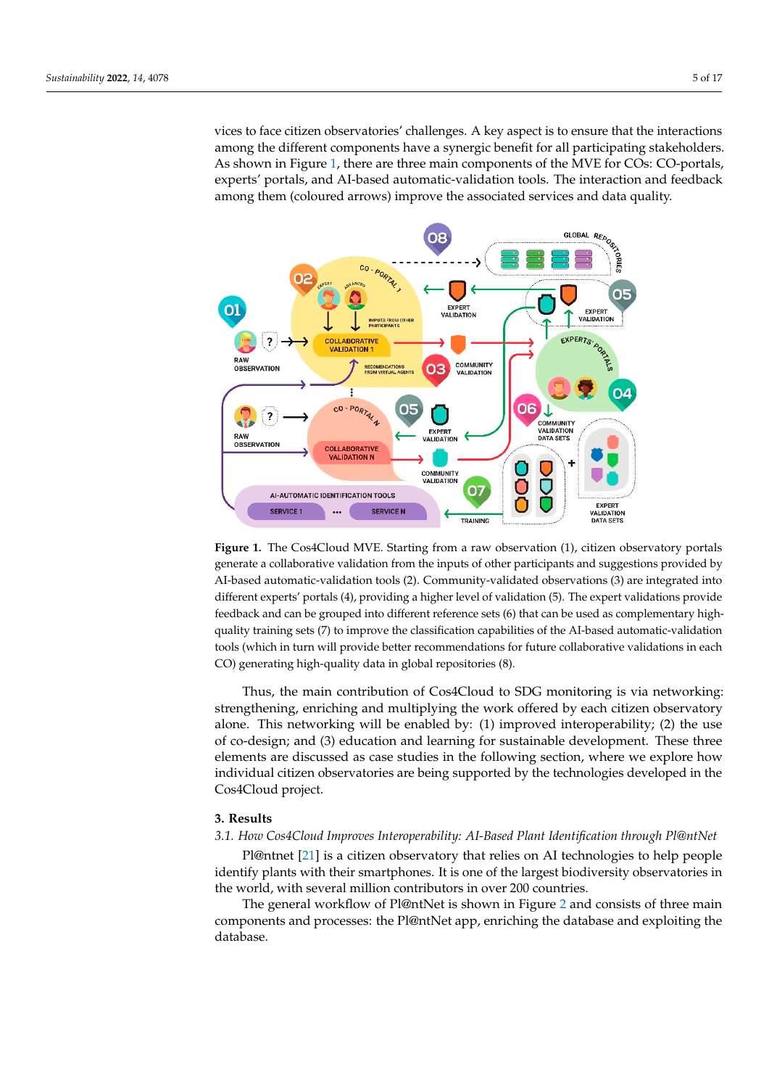vices to face citizen observatories' challenges. A key aspect is to ensure that the interactions among the different components have a synergic benefit for all participating stakeholders. As shown in [Fig](#page-4-0)ure 1, there are three main components of the MVE for COs: CO-portals, experts' portals, and AI-based automatic-validation tools. The interaction and feedback among them (coloured arrows) improve the associated services and data quality.

<span id="page-4-0"></span>

generate a collaborative validation from the inputs of other participants and suggestions provided by erate a collaborative validation from the inputs of other participants and suggestions provided by AI-based automatic-validation tools (2). Community-validated observations (3) are integrated into  $\Delta E$  and automatic-validation tools  $\langle z \rangle$ . Community-validated observations (3) are integrated in different experts' portals (4), providing a higher level of validation (5). The expert validations provide feedback and can be grouped into different reference sets (6) that can be used as complementary highquality training sets (7) to improve the classification capabilities of the AI-based automatic-validation tools (which in turn will provide better recommendations for future collaborative validations in each CO) generating high-quality data in global repositories (8). Figure 1. The Cos4Cloud MVE. Starting from a raw observation (1), citizen observatory portals

Thus, the main contribution of Cos4Cloud to SDG monitoring is via networking: Thus, the main contribution of Cos4Cloud to SDG monitoring is via networking: strengthening, enriching and multiplying the work offered by each citizen observatory strengthening, enriching and multiplying the work offered by each citizen observatory alone. This networking will be enabled by: (1) improved interoperability; (2) the use of co-design; and (3) education and learning for sustainable development. These three elements are discussed as case studies in the following section, where we explore how individual citizen observatories are being supported by the technologies developed in the Cos4Cloud project.

#### **3. Results**

## *3.1. How Cos4Cloud Improves Interoperability: AI-Based Plant Identification through Pl@ntNet*

Pl@ntnet [\[21\]](#page-15-16) is a citizen observatory that relies on AI technologies to help people identify plants with their smartphones. It is one of the largest biodiversity observatories in the world, with several million contributors in over 200 countries.

The general workflow of Pl@ntNet is shown in Figure [2](#page-5-0) and consists of three main components and processes: the Pl@ntNet app, enriching the database and exploiting the database.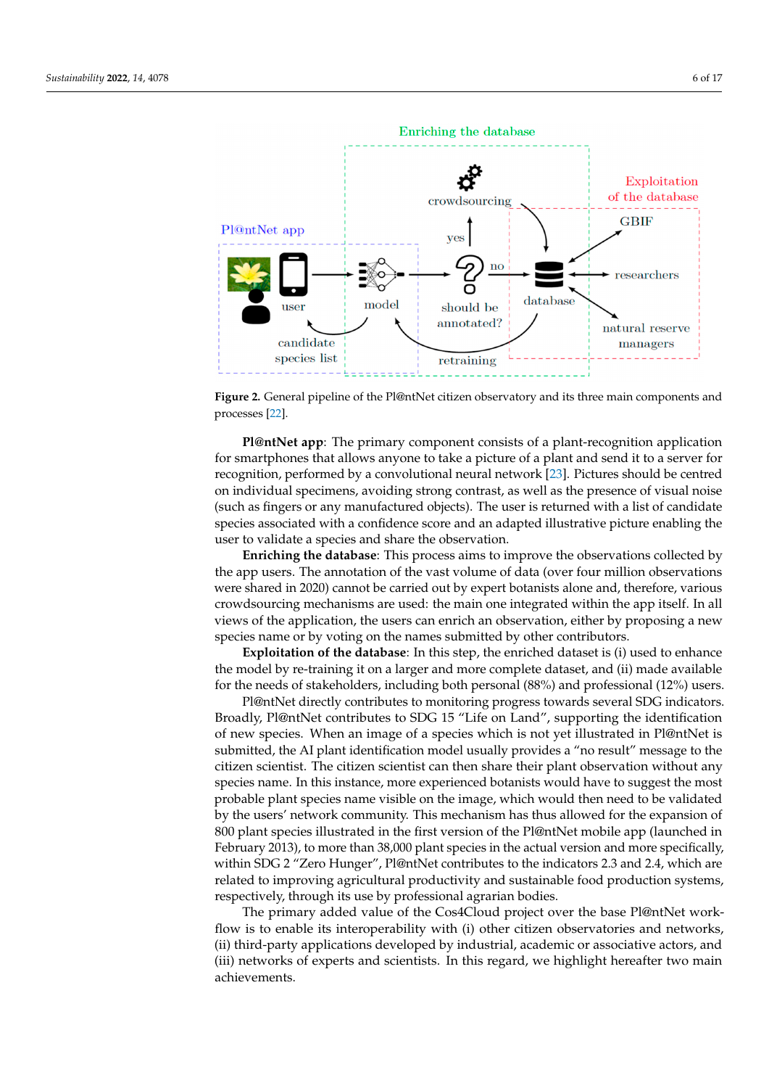database.<br>Adama

<span id="page-5-0"></span>

**Figure 2.** General pipeline of the Pl@ntNet citizen observatory and its three main components and **Figure 2.** General pipeline of the Pl@ntNet citizen observatory and its three main components and processes [22]. processes [\[22\]](#page-15-17).

**Pl@ntNet app**: The primary component consists of a plant-recognition application **Pl@ntNet app**: The primary component consists of a plant-recognition application for smartphones that allows anyone to take a picture of a plant and send it to a server for for smartphones that allows anyone to take a picture of a plant and send it to a server for recognition, performed by a convolutional neural network [\[23\]](#page-15-18). Pictures should be centred on individual specimens, avoiding strong contrast, as well as the presence of visual noise (such as fingers or any manufactured objects). The user is returned with a list of candidate (such as fingers or any manufactured objects). The user is returned with a list of candidate species associated with a confidence score and an adapted illustrative picture enabling the species associated with a confidence score and an adapted illustrative picture enabling the user to vandate a species and share the observation. user to validate a species and share the observation.

**Enriching the database**: This process aims to improve the observations collected by *Enriching the care of the original conditions* were shared in 2020) cannot be carried out by expert botanists alone and, therefore, various were shared in 2020) cannot be carried out by expert botanists alone and, therefore, various<br>crowdsourcing mechanisms are used: the main one integrated within the app itself. In all ous crowdsourcing mechanisms are used: the main one integrated within the app itself. views of the application, the users can enrich an observation, either by proposing a new From or the application, the users can enrich an observation, either by proposing a net the app users. The annotation of the vast volume of data (over four million observations

**Exploitation of the database**: In this step, the enriched dataset is (i) used to enhance **Exploitation of the database**: In this step, the enriched dataset is (i) used to enhance the model by re-training it on a larger and more complete dataset, and (ii) made available for the needs of stakeholders, including both personal (88%) and professional (12%) users.

Pl@ntNet directly contributes to monitoring progress towards several SDG indicators. Broadly, Pl@ntNet contributes to SDG 15 "Life on Land", supporting the identification of new species. When an image of a species which is not yet illustrated in Pl@ntNet is submitted, the AI plant identification model usually provides a "no result" message to the citizen scientist. The citizen scientist can then share their plant observation without any species name. In this instance, more experienced botanists would have to suggest the most probable plant species name visible on the image, which would then need to be validated by the users' network community. This mechanism has thus allowed for the expansion of 800 plant species illustrated in the first version of the Pl@ntNet mobile app (launched in February 2013), to more than 38,000 plant species in the actual version and more specifically, within SDG 2 "Zero Hunger", Pl@ntNet contributes to the indicators 2.3 and 2.4, which are related to improving agricultural productivity and sustainable food production systems, respectively, through its use by professional agrarian bodies.

The primary added value of the Cos4Cloud project over the base Pl@ntNet workflow is to enable its interoperability with (i) other citizen observatories and networks, (ii) third-party applications developed by industrial, academic or associative actors, and (iii) networks of experts and scientists. In this regard, we highlight hereafter two main achievements.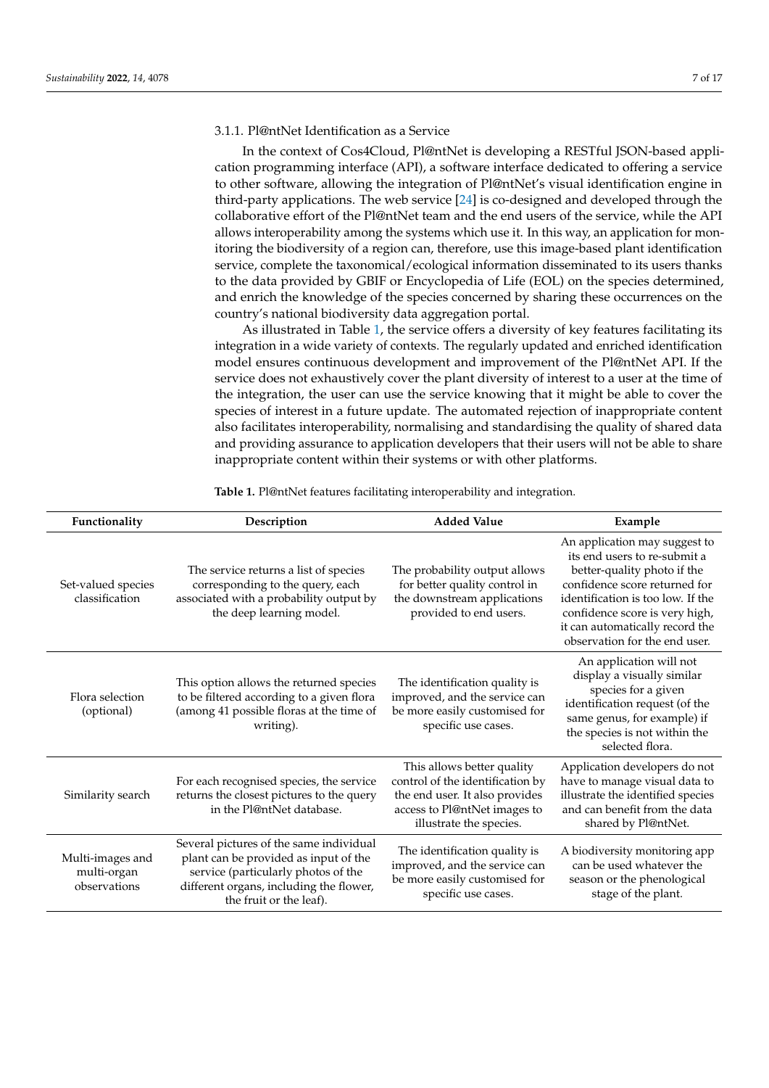## 3.1.1. Pl@ntNet Identification as a Service

In the context of Cos4Cloud, Pl@ntNet is developing a RESTful JSON-based application programming interface (API), a software interface dedicated to offering a service to other software, allowing the integration of Pl@ntNet's visual identification engine in third-party applications. The web service [\[24\]](#page-15-19) is co-designed and developed through the collaborative effort of the Pl@ntNet team and the end users of the service, while the API allows interoperability among the systems which use it. In this way, an application for monitoring the biodiversity of a region can, therefore, use this image-based plant identification service, complete the taxonomical/ecological information disseminated to its users thanks to the data provided by GBIF or Encyclopedia of Life (EOL) on the species determined, and enrich the knowledge of the species concerned by sharing these occurrences on the country's national biodiversity data aggregation portal.

As illustrated in Table [1,](#page-7-0) the service offers a diversity of key features facilitating its integration in a wide variety of contexts. The regularly updated and enriched identification model ensures continuous development and improvement of the Pl@ntNet API. If the service does not exhaustively cover the plant diversity of interest to a user at the time of the integration, the user can use the service knowing that it might be able to cover the species of interest in a future update. The automated rejection of inappropriate content also facilitates interoperability, normalising and standardising the quality of shared data and providing assurance to application developers that their users will not be able to share inappropriate content within their systems or with other platforms.

| Functionality                                   | Description                                                                                                                                                                                   | <b>Added Value</b>                                                                                                                                          | Example                                                                                                                                                                                                                                                                  |
|-------------------------------------------------|-----------------------------------------------------------------------------------------------------------------------------------------------------------------------------------------------|-------------------------------------------------------------------------------------------------------------------------------------------------------------|--------------------------------------------------------------------------------------------------------------------------------------------------------------------------------------------------------------------------------------------------------------------------|
| Set-valued species<br>classification            | The service returns a list of species<br>corresponding to the query, each<br>associated with a probability output by<br>the deep learning model.                                              | The probability output allows<br>for better quality control in<br>the downstream applications<br>provided to end users.                                     | An application may suggest to<br>its end users to re-submit a<br>better-quality photo if the<br>confidence score returned for<br>identification is too low. If the<br>confidence score is very high,<br>it can automatically record the<br>observation for the end user. |
| Flora selection<br>(optional)                   | This option allows the returned species<br>to be filtered according to a given flora<br>(among 41 possible floras at the time of<br>writing).                                                 | The identification quality is<br>improved, and the service can<br>be more easily customised for<br>specific use cases.                                      | An application will not<br>display a visually similar<br>species for a given<br>identification request (of the<br>same genus, for example) if<br>the species is not within the<br>selected flora.                                                                        |
| Similarity search                               | For each recognised species, the service<br>returns the closest pictures to the query<br>in the Pl@ntNet database.                                                                            | This allows better quality<br>control of the identification by<br>the end user. It also provides<br>access to Pl@ntNet images to<br>illustrate the species. | Application developers do not<br>have to manage visual data to<br>illustrate the identified species<br>and can benefit from the data<br>shared by Pl@ntNet.                                                                                                              |
| Multi-images and<br>multi-organ<br>observations | Several pictures of the same individual<br>plant can be provided as input of the<br>service (particularly photos of the<br>different organs, including the flower,<br>the fruit or the leaf). | The identification quality is<br>improved, and the service can<br>be more easily customised for<br>specific use cases.                                      | A biodiversity monitoring app<br>can be used whatever the<br>season or the phenological<br>stage of the plant.                                                                                                                                                           |

**Table 1.** Pl@ntNet features facilitating interoperability and integration.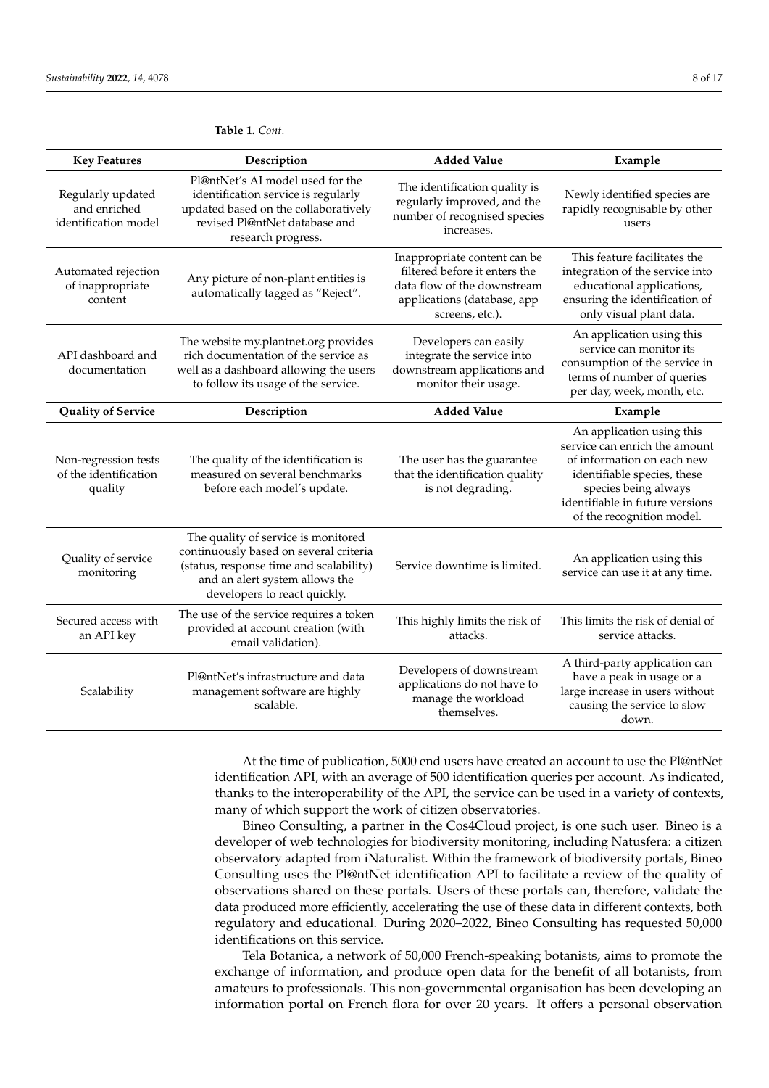| <b>Key Features</b>                                       | Description                                                                                                                                                                                | <b>Added Value</b>                                                                                                                             | Example                                                                                                                                                                                                         |
|-----------------------------------------------------------|--------------------------------------------------------------------------------------------------------------------------------------------------------------------------------------------|------------------------------------------------------------------------------------------------------------------------------------------------|-----------------------------------------------------------------------------------------------------------------------------------------------------------------------------------------------------------------|
| Regularly updated<br>and enriched<br>identification model | Pl@ntNet's AI model used for the<br>identification service is regularly<br>updated based on the collaboratively<br>revised Pl@ntNet database and<br>research progress.                     | The identification quality is<br>regularly improved, and the<br>number of recognised species<br>increases.                                     | Newly identified species are<br>rapidly recognisable by other<br>users                                                                                                                                          |
| Automated rejection<br>of inappropriate<br>content        | Any picture of non-plant entities is<br>automatically tagged as "Reject".                                                                                                                  | Inappropriate content can be<br>filtered before it enters the<br>data flow of the downstream<br>applications (database, app<br>screens, etc.). | This feature facilitates the<br>integration of the service into<br>educational applications,<br>ensuring the identification of<br>only visual plant data.                                                       |
| API dashboard and<br>documentation                        | The website my.plantnet.org provides<br>rich documentation of the service as<br>well as a dashboard allowing the users<br>to follow its usage of the service.                              | Developers can easily<br>integrate the service into<br>downstream applications and<br>monitor their usage.                                     | An application using this<br>service can monitor its<br>consumption of the service in<br>terms of number of queries<br>per day, week, month, etc.                                                               |
| <b>Quality of Service</b>                                 | Description                                                                                                                                                                                | <b>Added Value</b>                                                                                                                             | Example                                                                                                                                                                                                         |
| Non-regression tests<br>of the identification<br>quality  | The quality of the identification is<br>measured on several benchmarks<br>before each model's update.                                                                                      | The user has the guarantee<br>that the identification quality<br>is not degrading.                                                             | An application using this<br>service can enrich the amount<br>of information on each new<br>identifiable species, these<br>species being always<br>identifiable in future versions<br>of the recognition model. |
| Quality of service<br>monitoring                          | The quality of service is monitored<br>continuously based on several criteria<br>(status, response time and scalability)<br>and an alert system allows the<br>developers to react quickly. | Service downtime is limited.                                                                                                                   | An application using this<br>service can use it at any time.                                                                                                                                                    |
| Secured access with<br>an API key                         | The use of the service requires a token<br>provided at account creation (with<br>email validation).                                                                                        | This highly limits the risk of<br>attacks.                                                                                                     | This limits the risk of denial of<br>service attacks.                                                                                                                                                           |
| Scalability                                               | Pl@ntNet's infrastructure and data<br>management software are highly<br>scalable.                                                                                                          | Developers of downstream<br>applications do not have to<br>manage the workload<br>themselves.                                                  | A third-party application can<br>have a peak in usage or a<br>large increase in users without<br>causing the service to slow<br>down.                                                                           |

<span id="page-7-0"></span>**Table 1.** *Cont.*

At the time of publication, 5000 end users have created an account to use the Pl@ntNet identification API, with an average of 500 identification queries per account. As indicated, thanks to the interoperability of the API, the service can be used in a variety of contexts, many of which support the work of citizen observatories.

Bineo Consulting, a partner in the Cos4Cloud project, is one such user. Bineo is a developer of web technologies for biodiversity monitoring, including Natusfera: a citizen observatory adapted from iNaturalist. Within the framework of biodiversity portals, Bineo Consulting uses the Pl@ntNet identification API to facilitate a review of the quality of observations shared on these portals. Users of these portals can, therefore, validate the data produced more efficiently, accelerating the use of these data in different contexts, both regulatory and educational. During 2020–2022, Bineo Consulting has requested 50,000 identifications on this service.

Tela Botanica, a network of 50,000 French-speaking botanists, aims to promote the exchange of information, and produce open data for the benefit of all botanists, from amateurs to professionals. This non-governmental organisation has been developing an information portal on French flora for over 20 years. It offers a personal observation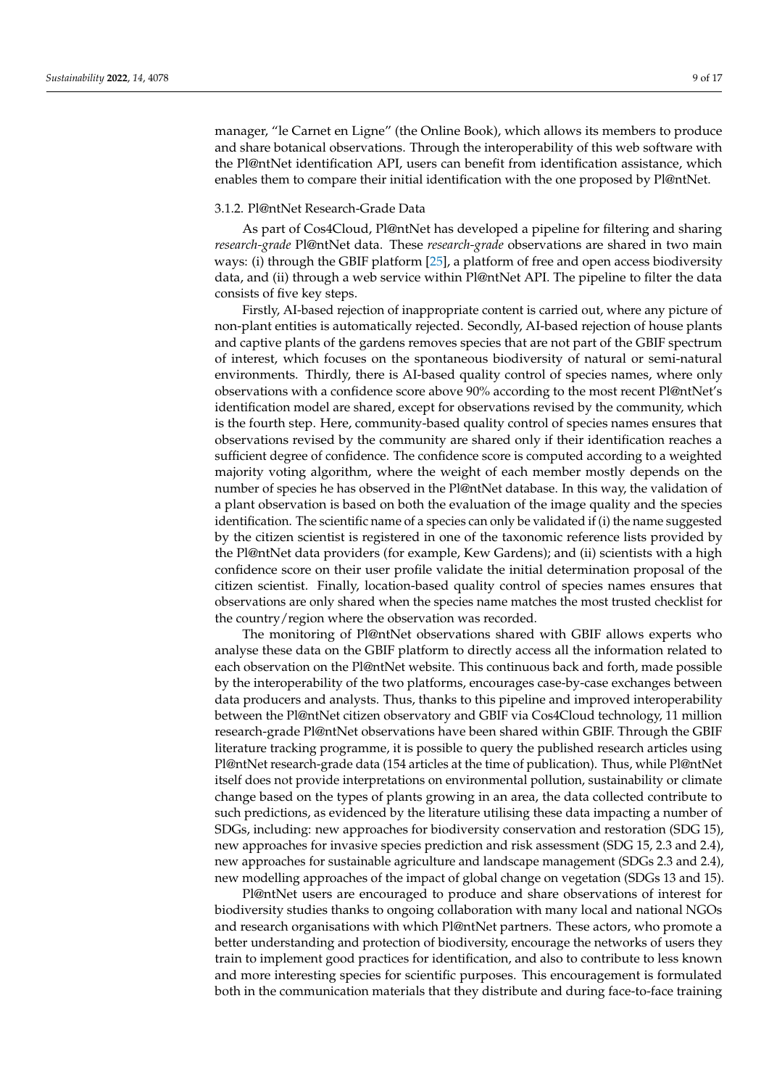manager, "le Carnet en Ligne" (the Online Book), which allows its members to produce and share botanical observations. Through the interoperability of this web software with the Pl@ntNet identification API, users can benefit from identification assistance, which enables them to compare their initial identification with the one proposed by Pl@ntNet.

#### 3.1.2. Pl@ntNet Research-Grade Data

As part of Cos4Cloud, Pl@ntNet has developed a pipeline for filtering and sharing *research-grade* Pl@ntNet data. These *research-grade* observations are shared in two main ways: (i) through the GBIF platform [\[25\]](#page-15-20), a platform of free and open access biodiversity data, and (ii) through a web service within Pl@ntNet API. The pipeline to filter the data consists of five key steps.

Firstly, AI-based rejection of inappropriate content is carried out, where any picture of non-plant entities is automatically rejected. Secondly, AI-based rejection of house plants and captive plants of the gardens removes species that are not part of the GBIF spectrum of interest, which focuses on the spontaneous biodiversity of natural or semi-natural environments. Thirdly, there is AI-based quality control of species names, where only observations with a confidence score above 90% according to the most recent Pl@ntNet's identification model are shared, except for observations revised by the community, which is the fourth step. Here, community-based quality control of species names ensures that observations revised by the community are shared only if their identification reaches a sufficient degree of confidence. The confidence score is computed according to a weighted majority voting algorithm, where the weight of each member mostly depends on the number of species he has observed in the Pl@ntNet database. In this way, the validation of a plant observation is based on both the evaluation of the image quality and the species identification. The scientific name of a species can only be validated if (i) the name suggested by the citizen scientist is registered in one of the taxonomic reference lists provided by the Pl@ntNet data providers (for example, Kew Gardens); and (ii) scientists with a high confidence score on their user profile validate the initial determination proposal of the citizen scientist. Finally, location-based quality control of species names ensures that observations are only shared when the species name matches the most trusted checklist for the country/region where the observation was recorded.

The monitoring of Pl@ntNet observations shared with GBIF allows experts who analyse these data on the GBIF platform to directly access all the information related to each observation on the Pl@ntNet website. This continuous back and forth, made possible by the interoperability of the two platforms, encourages case-by-case exchanges between data producers and analysts. Thus, thanks to this pipeline and improved interoperability between the Pl@ntNet citizen observatory and GBIF via Cos4Cloud technology, 11 million research-grade Pl@ntNet observations have been shared within GBIF. Through the GBIF literature tracking programme, it is possible to query the published research articles using Pl@ntNet research-grade data (154 articles at the time of publication). Thus, while Pl@ntNet itself does not provide interpretations on environmental pollution, sustainability or climate change based on the types of plants growing in an area, the data collected contribute to such predictions, as evidenced by the literature utilising these data impacting a number of SDGs, including: new approaches for biodiversity conservation and restoration (SDG 15), new approaches for invasive species prediction and risk assessment (SDG 15, 2.3 and 2.4), new approaches for sustainable agriculture and landscape management (SDGs 2.3 and 2.4), new modelling approaches of the impact of global change on vegetation (SDGs 13 and 15).

Pl@ntNet users are encouraged to produce and share observations of interest for biodiversity studies thanks to ongoing collaboration with many local and national NGOs and research organisations with which Pl@ntNet partners. These actors, who promote a better understanding and protection of biodiversity, encourage the networks of users they train to implement good practices for identification, and also to contribute to less known and more interesting species for scientific purposes. This encouragement is formulated both in the communication materials that they distribute and during face-to-face training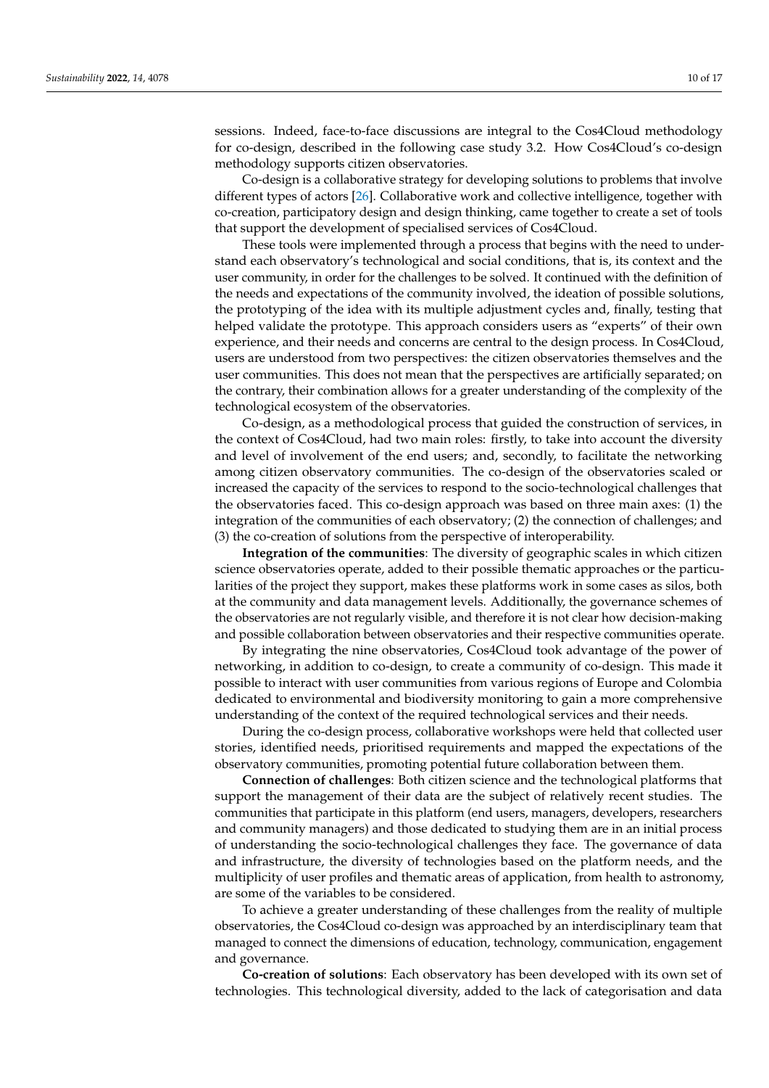sessions. Indeed, face-to-face discussions are integral to the Cos4Cloud methodology for co-design, described in the following case study 3.2. How Cos4Cloud's co-design methodology supports citizen observatories.

Co-design is a collaborative strategy for developing solutions to problems that involve different types of actors [\[26\]](#page-15-21). Collaborative work and collective intelligence, together with co-creation, participatory design and design thinking, came together to create a set of tools that support the development of specialised services of Cos4Cloud.

These tools were implemented through a process that begins with the need to understand each observatory's technological and social conditions, that is, its context and the user community, in order for the challenges to be solved. It continued with the definition of the needs and expectations of the community involved, the ideation of possible solutions, the prototyping of the idea with its multiple adjustment cycles and, finally, testing that helped validate the prototype. This approach considers users as "experts" of their own experience, and their needs and concerns are central to the design process. In Cos4Cloud, users are understood from two perspectives: the citizen observatories themselves and the user communities. This does not mean that the perspectives are artificially separated; on the contrary, their combination allows for a greater understanding of the complexity of the technological ecosystem of the observatories.

Co-design, as a methodological process that guided the construction of services, in the context of Cos4Cloud, had two main roles: firstly, to take into account the diversity and level of involvement of the end users; and, secondly, to facilitate the networking among citizen observatory communities. The co-design of the observatories scaled or increased the capacity of the services to respond to the socio-technological challenges that the observatories faced. This co-design approach was based on three main axes: (1) the integration of the communities of each observatory; (2) the connection of challenges; and (3) the co-creation of solutions from the perspective of interoperability.

**Integration of the communities**: The diversity of geographic scales in which citizen science observatories operate, added to their possible thematic approaches or the particularities of the project they support, makes these platforms work in some cases as silos, both at the community and data management levels. Additionally, the governance schemes of the observatories are not regularly visible, and therefore it is not clear how decision-making and possible collaboration between observatories and their respective communities operate.

By integrating the nine observatories, Cos4Cloud took advantage of the power of networking, in addition to co-design, to create a community of co-design. This made it possible to interact with user communities from various regions of Europe and Colombia dedicated to environmental and biodiversity monitoring to gain a more comprehensive understanding of the context of the required technological services and their needs.

During the co-design process, collaborative workshops were held that collected user stories, identified needs, prioritised requirements and mapped the expectations of the observatory communities, promoting potential future collaboration between them.

**Connection of challenges**: Both citizen science and the technological platforms that support the management of their data are the subject of relatively recent studies. The communities that participate in this platform (end users, managers, developers, researchers and community managers) and those dedicated to studying them are in an initial process of understanding the socio-technological challenges they face. The governance of data and infrastructure, the diversity of technologies based on the platform needs, and the multiplicity of user profiles and thematic areas of application, from health to astronomy, are some of the variables to be considered.

To achieve a greater understanding of these challenges from the reality of multiple observatories, the Cos4Cloud co-design was approached by an interdisciplinary team that managed to connect the dimensions of education, technology, communication, engagement and governance.

**Co-creation of solutions**: Each observatory has been developed with its own set of technologies. This technological diversity, added to the lack of categorisation and data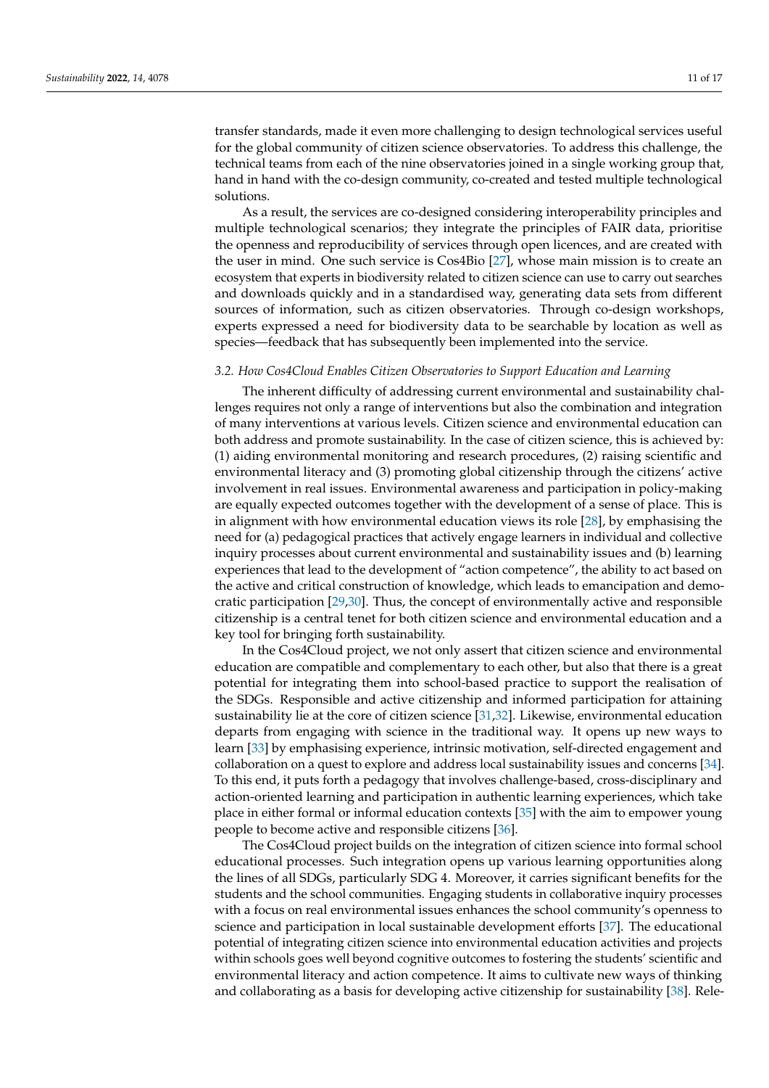transfer standards, made it even more challenging to design technological services useful for the global community of citizen science observatories. To address this challenge, the technical teams from each of the nine observatories joined in a single working group that, hand in hand with the co-design community, co-created and tested multiple technological solutions.

As a result, the services are co-designed considering interoperability principles and multiple technological scenarios; they integrate the principles of FAIR data, prioritise the openness and reproducibility of services through open licences, and are created with the user in mind. One such service is Cos4Bio [\[27\]](#page-15-22), whose main mission is to create an ecosystem that experts in biodiversity related to citizen science can use to carry out searches and downloads quickly and in a standardised way, generating data sets from different sources of information, such as citizen observatories. Through co-design workshops, experts expressed a need for biodiversity data to be searchable by location as well as species—feedback that has subsequently been implemented into the service.

#### *3.2. How Cos4Cloud Enables Citizen Observatories to Support Education and Learning*

The inherent difficulty of addressing current environmental and sustainability challenges requires not only a range of interventions but also the combination and integration of many interventions at various levels. Citizen science and environmental education can both address and promote sustainability. In the case of citizen science, this is achieved by: (1) aiding environmental monitoring and research procedures, (2) raising scientific and environmental literacy and (3) promoting global citizenship through the citizens' active involvement in real issues. Environmental awareness and participation in policy-making are equally expected outcomes together with the development of a sense of place. This is in alignment with how environmental education views its role [\[28\]](#page-15-23), by emphasising the need for (a) pedagogical practices that actively engage learners in individual and collective inquiry processes about current environmental and sustainability issues and (b) learning experiences that lead to the development of "action competence", the ability to act based on the active and critical construction of knowledge, which leads to emancipation and democratic participation [\[29,](#page-15-24)[30\]](#page-15-25). Thus, the concept of environmentally active and responsible citizenship is a central tenet for both citizen science and environmental education and a key tool for bringing forth sustainability.

In the Cos4Cloud project, we not only assert that citizen science and environmental education are compatible and complementary to each other, but also that there is a great potential for integrating them into school-based practice to support the realisation of the SDGs. Responsible and active citizenship and informed participation for attaining sustainability lie at the core of citizen science [\[31,](#page-15-26)[32\]](#page-15-27). Likewise, environmental education departs from engaging with science in the traditional way. It opens up new ways to learn [\[33\]](#page-15-28) by emphasising experience, intrinsic motivation, self-directed engagement and collaboration on a quest to explore and address local sustainability issues and concerns [\[34\]](#page-15-29). To this end, it puts forth a pedagogy that involves challenge-based, cross-disciplinary and action-oriented learning and participation in authentic learning experiences, which take place in either formal or informal education contexts [\[35\]](#page-15-30) with the aim to empower young people to become active and responsible citizens [\[36\]](#page-15-31).

The Cos4Cloud project builds on the integration of citizen science into formal school educational processes. Such integration opens up various learning opportunities along the lines of all SDGs, particularly SDG 4. Moreover, it carries significant benefits for the students and the school communities. Engaging students in collaborative inquiry processes with a focus on real environmental issues enhances the school community's openness to science and participation in local sustainable development efforts [\[37\]](#page-16-0). The educational potential of integrating citizen science into environmental education activities and projects within schools goes well beyond cognitive outcomes to fostering the students' scientific and environmental literacy and action competence. It aims to cultivate new ways of thinking and collaborating as a basis for developing active citizenship for sustainability [\[38\]](#page-16-1). Rele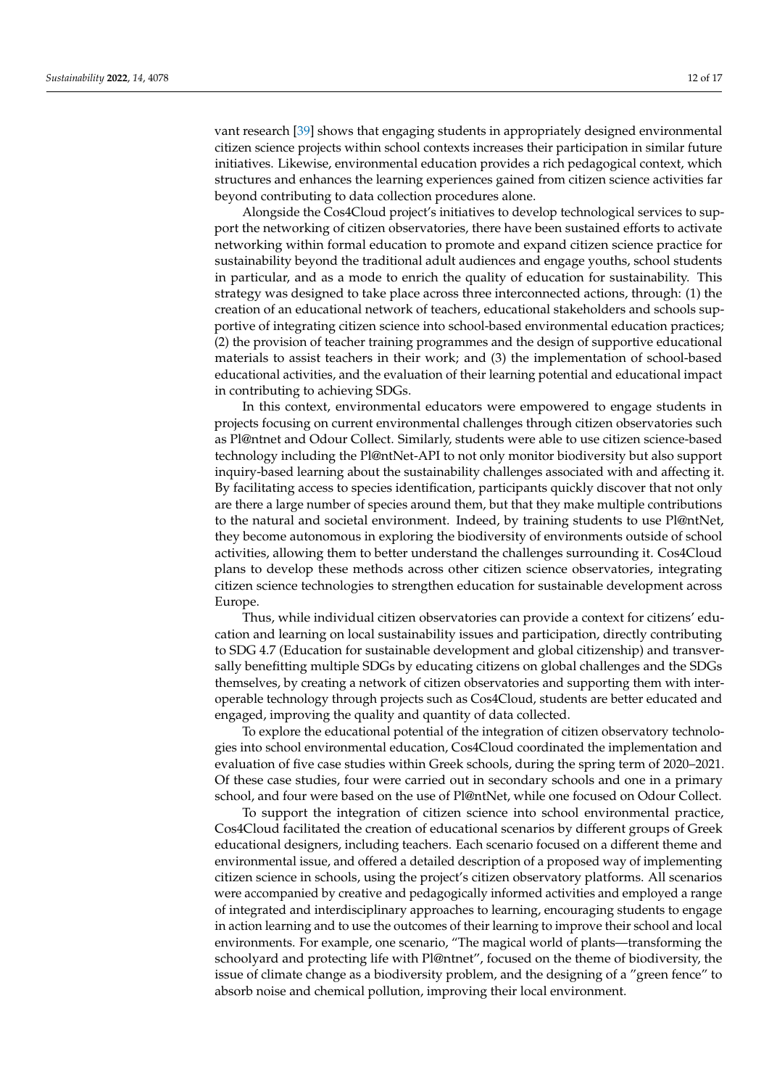vant research [\[39\]](#page-16-2) shows that engaging students in appropriately designed environmental citizen science projects within school contexts increases their participation in similar future initiatives. Likewise, environmental education provides a rich pedagogical context, which structures and enhances the learning experiences gained from citizen science activities far beyond contributing to data collection procedures alone.

Alongside the Cos4Cloud project's initiatives to develop technological services to support the networking of citizen observatories, there have been sustained efforts to activate networking within formal education to promote and expand citizen science practice for sustainability beyond the traditional adult audiences and engage youths, school students in particular, and as a mode to enrich the quality of education for sustainability. This strategy was designed to take place across three interconnected actions, through: (1) the creation of an educational network of teachers, educational stakeholders and schools supportive of integrating citizen science into school-based environmental education practices; (2) the provision of teacher training programmes and the design of supportive educational materials to assist teachers in their work; and (3) the implementation of school-based educational activities, and the evaluation of their learning potential and educational impact in contributing to achieving SDGs.

In this context, environmental educators were empowered to engage students in projects focusing on current environmental challenges through citizen observatories such as Pl@ntnet and Odour Collect. Similarly, students were able to use citizen science-based technology including the Pl@ntNet-API to not only monitor biodiversity but also support inquiry-based learning about the sustainability challenges associated with and affecting it. By facilitating access to species identification, participants quickly discover that not only are there a large number of species around them, but that they make multiple contributions to the natural and societal environment. Indeed, by training students to use Pl@ntNet, they become autonomous in exploring the biodiversity of environments outside of school activities, allowing them to better understand the challenges surrounding it. Cos4Cloud plans to develop these methods across other citizen science observatories, integrating citizen science technologies to strengthen education for sustainable development across Europe.

Thus, while individual citizen observatories can provide a context for citizens' education and learning on local sustainability issues and participation, directly contributing to SDG 4.7 (Education for sustainable development and global citizenship) and transversally benefitting multiple SDGs by educating citizens on global challenges and the SDGs themselves, by creating a network of citizen observatories and supporting them with interoperable technology through projects such as Cos4Cloud, students are better educated and engaged, improving the quality and quantity of data collected.

To explore the educational potential of the integration of citizen observatory technologies into school environmental education, Cos4Cloud coordinated the implementation and evaluation of five case studies within Greek schools, during the spring term of 2020–2021. Of these case studies, four were carried out in secondary schools and one in a primary school, and four were based on the use of Pl@ntNet, while one focused on Odour Collect.

To support the integration of citizen science into school environmental practice, Cos4Cloud facilitated the creation of educational scenarios by different groups of Greek educational designers, including teachers. Each scenario focused on a different theme and environmental issue, and offered a detailed description of a proposed way of implementing citizen science in schools, using the project's citizen observatory platforms. All scenarios were accompanied by creative and pedagogically informed activities and employed a range of integrated and interdisciplinary approaches to learning, encouraging students to engage in action learning and to use the outcomes of their learning to improve their school and local environments. For example, one scenario, "The magical world of plants—transforming the schoolyard and protecting life with Pl@ntnet", focused on the theme of biodiversity, the issue of climate change as a biodiversity problem, and the designing of a "green fence" to absorb noise and chemical pollution, improving their local environment.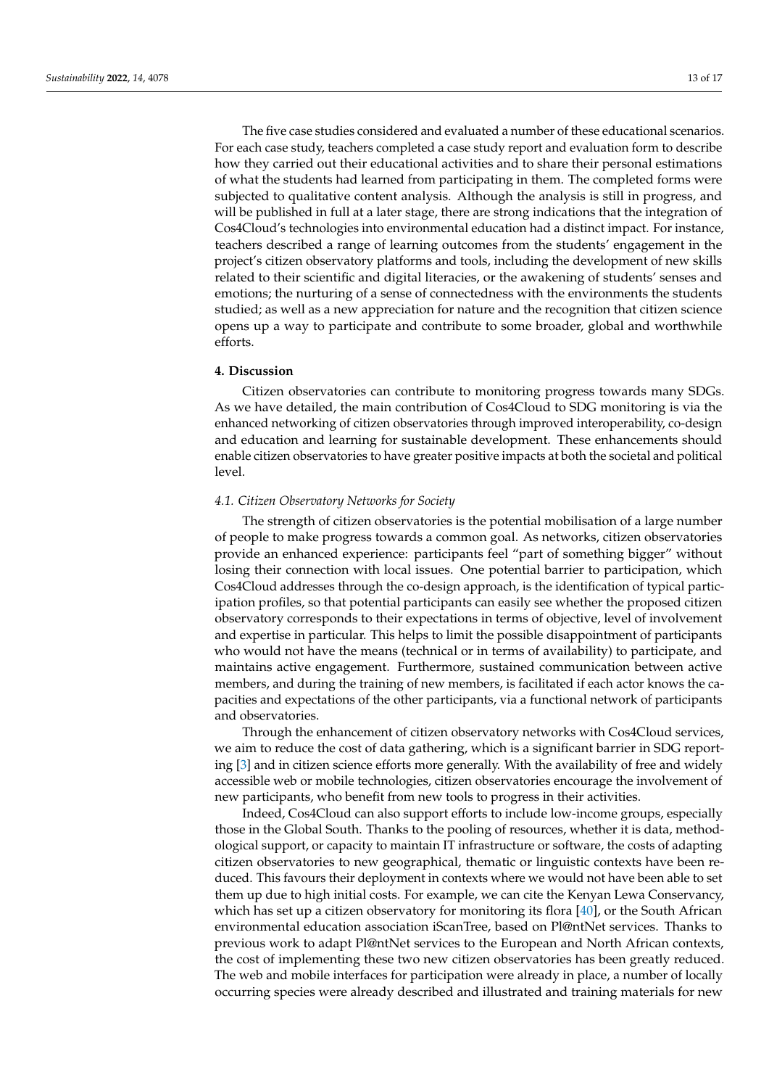The five case studies considered and evaluated a number of these educational scenarios. For each case study, teachers completed a case study report and evaluation form to describe how they carried out their educational activities and to share their personal estimations of what the students had learned from participating in them. The completed forms were subjected to qualitative content analysis. Although the analysis is still in progress, and will be published in full at a later stage, there are strong indications that the integration of Cos4Cloud's technologies into environmental education had a distinct impact. For instance, teachers described a range of learning outcomes from the students' engagement in the project's citizen observatory platforms and tools, including the development of new skills related to their scientific and digital literacies, or the awakening of students' senses and emotions; the nurturing of a sense of connectedness with the environments the students studied; as well as a new appreciation for nature and the recognition that citizen science opens up a way to participate and contribute to some broader, global and worthwhile efforts.

# **4. Discussion**

Citizen observatories can contribute to monitoring progress towards many SDGs. As we have detailed, the main contribution of Cos4Cloud to SDG monitoring is via the enhanced networking of citizen observatories through improved interoperability, co-design and education and learning for sustainable development. These enhancements should enable citizen observatories to have greater positive impacts at both the societal and political level.

#### *4.1. Citizen Observatory Networks for Society*

The strength of citizen observatories is the potential mobilisation of a large number of people to make progress towards a common goal. As networks, citizen observatories provide an enhanced experience: participants feel "part of something bigger" without losing their connection with local issues. One potential barrier to participation, which Cos4Cloud addresses through the co-design approach, is the identification of typical participation profiles, so that potential participants can easily see whether the proposed citizen observatory corresponds to their expectations in terms of objective, level of involvement and expertise in particular. This helps to limit the possible disappointment of participants who would not have the means (technical or in terms of availability) to participate, and maintains active engagement. Furthermore, sustained communication between active members, and during the training of new members, is facilitated if each actor knows the capacities and expectations of the other participants, via a functional network of participants and observatories.

Through the enhancement of citizen observatory networks with Cos4Cloud services, we aim to reduce the cost of data gathering, which is a significant barrier in SDG reporting [\[3\]](#page-14-2) and in citizen science efforts more generally. With the availability of free and widely accessible web or mobile technologies, citizen observatories encourage the involvement of new participants, who benefit from new tools to progress in their activities.

Indeed, Cos4Cloud can also support efforts to include low-income groups, especially those in the Global South. Thanks to the pooling of resources, whether it is data, methodological support, or capacity to maintain IT infrastructure or software, the costs of adapting citizen observatories to new geographical, thematic or linguistic contexts have been reduced. This favours their deployment in contexts where we would not have been able to set them up due to high initial costs. For example, we can cite the Kenyan Lewa Conservancy, which has set up a citizen observatory for monitoring its flora [\[40\]](#page-16-3), or the South African environmental education association iScanTree, based on Pl@ntNet services. Thanks to previous work to adapt Pl@ntNet services to the European and North African contexts, the cost of implementing these two new citizen observatories has been greatly reduced. The web and mobile interfaces for participation were already in place, a number of locally occurring species were already described and illustrated and training materials for new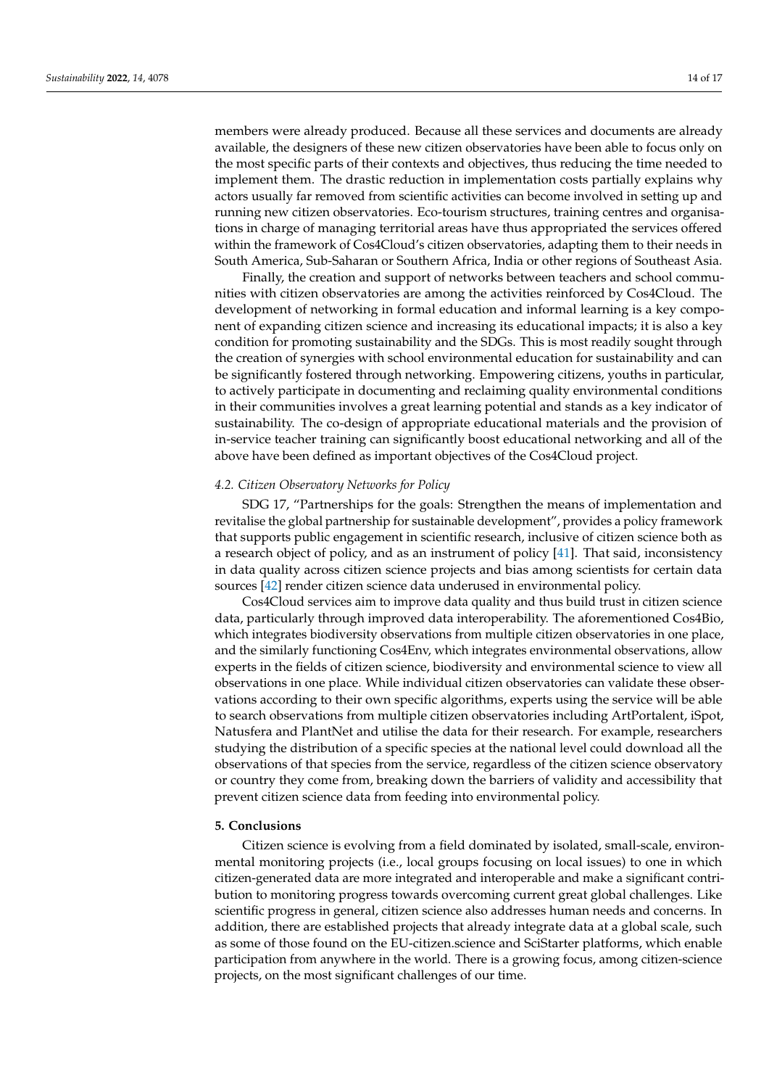members were already produced. Because all these services and documents are already available, the designers of these new citizen observatories have been able to focus only on the most specific parts of their contexts and objectives, thus reducing the time needed to implement them. The drastic reduction in implementation costs partially explains why actors usually far removed from scientific activities can become involved in setting up and running new citizen observatories. Eco-tourism structures, training centres and organisations in charge of managing territorial areas have thus appropriated the services offered within the framework of Cos4Cloud's citizen observatories, adapting them to their needs in South America, Sub-Saharan or Southern Africa, India or other regions of Southeast Asia.

Finally, the creation and support of networks between teachers and school communities with citizen observatories are among the activities reinforced by Cos4Cloud. The development of networking in formal education and informal learning is a key component of expanding citizen science and increasing its educational impacts; it is also a key condition for promoting sustainability and the SDGs. This is most readily sought through the creation of synergies with school environmental education for sustainability and can be significantly fostered through networking. Empowering citizens, youths in particular, to actively participate in documenting and reclaiming quality environmental conditions in their communities involves a great learning potential and stands as a key indicator of sustainability. The co-design of appropriate educational materials and the provision of in-service teacher training can significantly boost educational networking and all of the above have been defined as important objectives of the Cos4Cloud project.

## *4.2. Citizen Observatory Networks for Policy*

SDG 17, "Partnerships for the goals: Strengthen the means of implementation and revitalise the global partnership for sustainable development", provides a policy framework that supports public engagement in scientific research, inclusive of citizen science both as a research object of policy, and as an instrument of policy [\[41\]](#page-16-4). That said, inconsistency in data quality across citizen science projects and bias among scientists for certain data sources [\[42\]](#page-16-5) render citizen science data underused in environmental policy.

Cos4Cloud services aim to improve data quality and thus build trust in citizen science data, particularly through improved data interoperability. The aforementioned Cos4Bio, which integrates biodiversity observations from multiple citizen observatories in one place, and the similarly functioning Cos4Env, which integrates environmental observations, allow experts in the fields of citizen science, biodiversity and environmental science to view all observations in one place. While individual citizen observatories can validate these observations according to their own specific algorithms, experts using the service will be able to search observations from multiple citizen observatories including ArtPortalent, iSpot, Natusfera and PlantNet and utilise the data for their research. For example, researchers studying the distribution of a specific species at the national level could download all the observations of that species from the service, regardless of the citizen science observatory or country they come from, breaking down the barriers of validity and accessibility that prevent citizen science data from feeding into environmental policy.

# **5. Conclusions**

Citizen science is evolving from a field dominated by isolated, small-scale, environmental monitoring projects (i.e., local groups focusing on local issues) to one in which citizen-generated data are more integrated and interoperable and make a significant contribution to monitoring progress towards overcoming current great global challenges. Like scientific progress in general, citizen science also addresses human needs and concerns. In addition, there are established projects that already integrate data at a global scale, such as some of those found on the EU-citizen.science and SciStarter platforms, which enable participation from anywhere in the world. There is a growing focus, among citizen-science projects, on the most significant challenges of our time.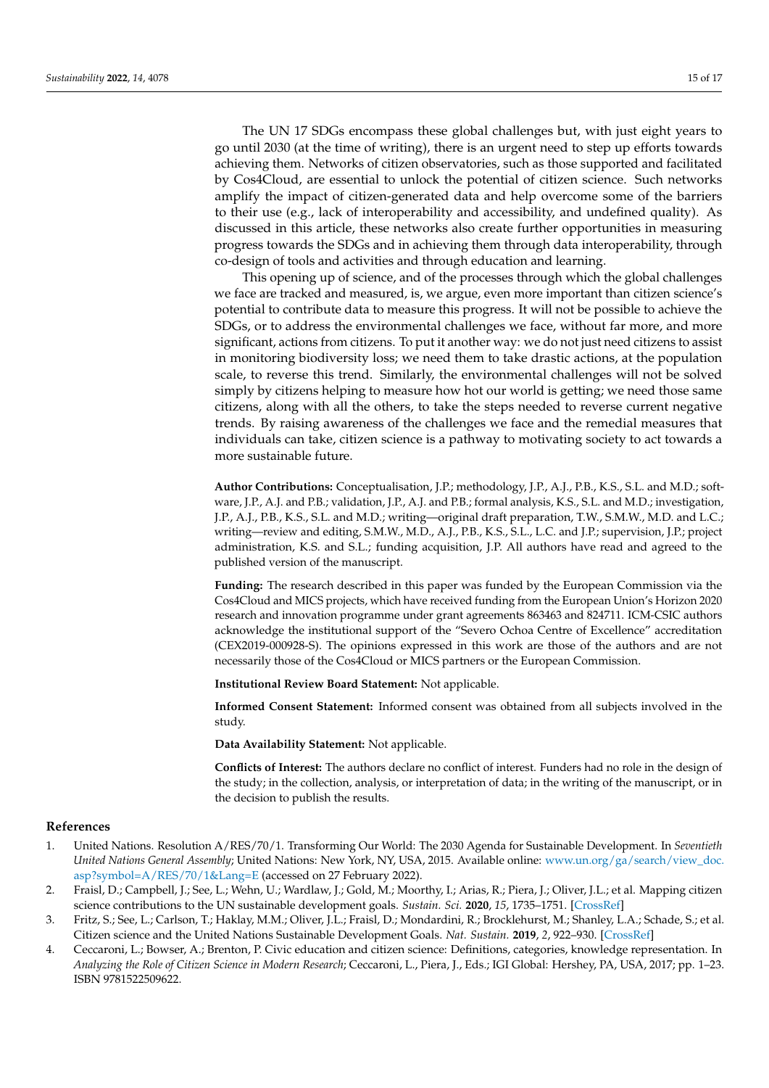The UN 17 SDGs encompass these global challenges but, with just eight years to go until 2030 (at the time of writing), there is an urgent need to step up efforts towards achieving them. Networks of citizen observatories, such as those supported and facilitated by Cos4Cloud, are essential to unlock the potential of citizen science. Such networks amplify the impact of citizen-generated data and help overcome some of the barriers to their use (e.g., lack of interoperability and accessibility, and undefined quality). As discussed in this article, these networks also create further opportunities in measuring progress towards the SDGs and in achieving them through data interoperability, through co-design of tools and activities and through education and learning.

This opening up of science, and of the processes through which the global challenges we face are tracked and measured, is, we argue, even more important than citizen science's potential to contribute data to measure this progress. It will not be possible to achieve the SDGs, or to address the environmental challenges we face, without far more, and more significant, actions from citizens. To put it another way: we do not just need citizens to assist in monitoring biodiversity loss; we need them to take drastic actions, at the population scale, to reverse this trend. Similarly, the environmental challenges will not be solved simply by citizens helping to measure how hot our world is getting; we need those same citizens, along with all the others, to take the steps needed to reverse current negative trends. By raising awareness of the challenges we face and the remedial measures that individuals can take, citizen science is a pathway to motivating society to act towards a more sustainable future.

**Author Contributions:** Conceptualisation, J.P.; methodology, J.P., A.J., P.B., K.S., S.L. and M.D.; software, J.P., A.J. and P.B.; validation, J.P., A.J. and P.B.; formal analysis, K.S., S.L. and M.D.; investigation, J.P., A.J., P.B., K.S., S.L. and M.D.; writing—original draft preparation, T.W., S.M.W., M.D. and L.C.; writing—review and editing, S.M.W., M.D., A.J., P.B., K.S., S.L., L.C. and J.P.; supervision, J.P.; project administration, K.S. and S.L.; funding acquisition, J.P. All authors have read and agreed to the published version of the manuscript.

**Funding:** The research described in this paper was funded by the European Commission via the Cos4Cloud and MICS projects, which have received funding from the European Union's Horizon 2020 research and innovation programme under grant agreements 863463 and 824711. ICM-CSIC authors acknowledge the institutional support of the "Severo Ochoa Centre of Excellence" accreditation (CEX2019-000928-S). The opinions expressed in this work are those of the authors and are not necessarily those of the Cos4Cloud or MICS partners or the European Commission.

**Institutional Review Board Statement:** Not applicable.

**Informed Consent Statement:** Informed consent was obtained from all subjects involved in the study.

**Data Availability Statement:** Not applicable.

**Conflicts of Interest:** The authors declare no conflict of interest. Funders had no role in the design of the study; in the collection, analysis, or interpretation of data; in the writing of the manuscript, or in the decision to publish the results.

# **References**

- <span id="page-14-0"></span>1. United Nations. Resolution A/RES/70/1. Transforming Our World: The 2030 Agenda for Sustainable Development. In *Seventieth United Nations General Assembly*; United Nations: New York, NY, USA, 2015. Available online: [www.un.org/ga/search/view\\_doc.](www.un.org/ga/search/view_doc.asp?symbol=A/RES/70/1&Lang=E) [asp?symbol=A/RES/70/1&Lang=E](www.un.org/ga/search/view_doc.asp?symbol=A/RES/70/1&Lang=E) (accessed on 27 February 2022).
- <span id="page-14-1"></span>2. Fraisl, D.; Campbell, J.; See, L.; Wehn, U.; Wardlaw, J.; Gold, M.; Moorthy, I.; Arias, R.; Piera, J.; Oliver, J.L.; et al. Mapping citizen science contributions to the UN sustainable development goals. *Sustain. Sci.* **2020**, *15*, 1735–1751. [\[CrossRef\]](http://doi.org/10.1007/s11625-020-00833-7)
- <span id="page-14-2"></span>3. Fritz, S.; See, L.; Carlson, T.; Haklay, M.M.; Oliver, J.L.; Fraisl, D.; Mondardini, R.; Brocklehurst, M.; Shanley, L.A.; Schade, S.; et al. Citizen science and the United Nations Sustainable Development Goals. *Nat. Sustain.* **2019**, *2*, 922–930. [\[CrossRef\]](http://doi.org/10.1038/s41893-019-0390-3)
- <span id="page-14-3"></span>4. Ceccaroni, L.; Bowser, A.; Brenton, P. Civic education and citizen science: Definitions, categories, knowledge representation. In *Analyzing the Role of Citizen Science in Modern Research*; Ceccaroni, L., Piera, J., Eds.; IGI Global: Hershey, PA, USA, 2017; pp. 1–23. ISBN 9781522509622.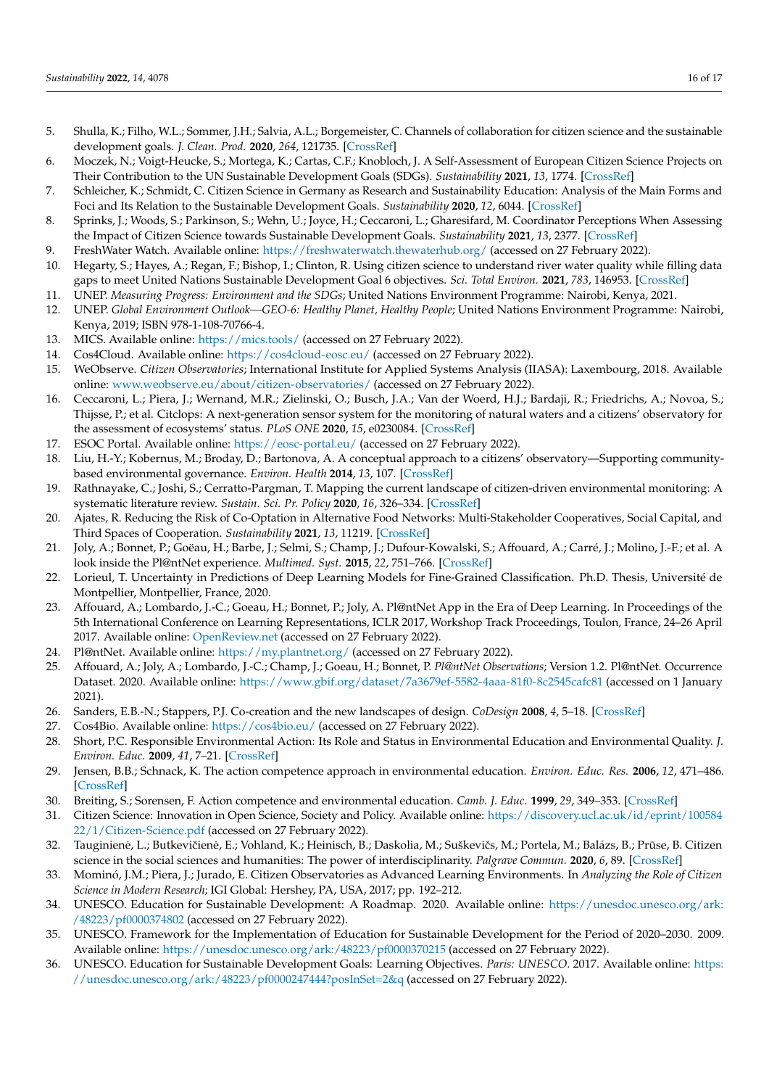- <span id="page-15-0"></span>5. Shulla, K.; Filho, W.L.; Sommer, J.H.; Salvia, A.L.; Borgemeister, C. Channels of collaboration for citizen science and the sustainable development goals. *J. Clean. Prod.* **2020**, *264*, 121735. [\[CrossRef\]](http://doi.org/10.1016/j.jclepro.2020.121735)
- <span id="page-15-1"></span>6. Moczek, N.; Voigt-Heucke, S.; Mortega, K.; Cartas, C.F.; Knobloch, J. A Self-Assessment of European Citizen Science Projects on Their Contribution to the UN Sustainable Development Goals (SDGs). *Sustainability* **2021**, *13*, 1774. [\[CrossRef\]](http://doi.org/10.3390/su13041774)
- <span id="page-15-2"></span>7. Schleicher, K.; Schmidt, C. Citizen Science in Germany as Research and Sustainability Education: Analysis of the Main Forms and Foci and Its Relation to the Sustainable Development Goals. *Sustainability* **2020**, *12*, 6044. [\[CrossRef\]](http://doi.org/10.3390/su12156044)
- <span id="page-15-3"></span>8. Sprinks, J.; Woods, S.; Parkinson, S.; Wehn, U.; Joyce, H.; Ceccaroni, L.; Gharesifard, M. Coordinator Perceptions When Assessing the Impact of Citizen Science towards Sustainable Development Goals. *Sustainability* **2021**, *13*, 2377. [\[CrossRef\]](http://doi.org/10.3390/su13042377)
- <span id="page-15-4"></span>9. FreshWater Watch. Available online: <https://freshwaterwatch.thewaterhub.org/> (accessed on 27 February 2022).
- <span id="page-15-5"></span>10. Hegarty, S.; Hayes, A.; Regan, F.; Bishop, I.; Clinton, R. Using citizen science to understand river water quality while filling data gaps to meet United Nations Sustainable Development Goal 6 objectives. *Sci. Total Environ.* **2021**, *783*, 146953. [\[CrossRef\]](http://doi.org/10.1016/j.scitotenv.2021.146953)
- <span id="page-15-6"></span>11. UNEP. *Measuring Progress: Environment and the SDGs*; United Nations Environment Programme: Nairobi, Kenya, 2021.
- <span id="page-15-7"></span>12. UNEP. *Global Environment Outlook—GEO-6: Healthy Planet, Healthy People;* United Nations Environment Programme: Nairobi, Kenya, 2019; ISBN 978-1-108-70766-4.
- <span id="page-15-8"></span>13. MICS. Available online: <https://mics.tools/> (accessed on 27 February 2022).
- <span id="page-15-9"></span>14. Cos4Cloud. Available online: <https://cos4cloud-eosc.eu/> (accessed on 27 February 2022).
- <span id="page-15-10"></span>15. WeObserve. *Citizen Observatories*; International Institute for Applied Systems Analysis (IIASA): Laxembourg, 2018. Available online: <www.weobserve.eu/about/citizen-observatories/> (accessed on 27 February 2022).
- <span id="page-15-11"></span>16. Ceccaroni, L.; Piera, J.; Wernand, M.R.; Zielinski, O.; Busch, J.A.; Van der Woerd, H.J.; Bardaji, R.; Friedrichs, A.; Novoa, S.; Thijsse, P.; et al. Citclops: A next-generation sensor system for the monitoring of natural waters and a citizens' observatory for the assessment of ecosystems' status. *PLoS ONE* **2020**, *15*, e0230084. [\[CrossRef\]](http://doi.org/10.1371/journal.pone.0230084)
- <span id="page-15-12"></span>17. ESOC Portal. Available online: <https://eosc-portal.eu/> (accessed on 27 February 2022).
- <span id="page-15-13"></span>18. Liu, H.-Y.; Kobernus, M.; Broday, D.; Bartonova, A. A conceptual approach to a citizens' observatory—Supporting communitybased environmental governance. *Environ. Health* **2014**, *13*, 107. [\[CrossRef\]](http://doi.org/10.1186/1476-069X-13-107)
- <span id="page-15-14"></span>19. Rathnayake, C.; Joshi, S.; Cerratto-Pargman, T. Mapping the current landscape of citizen-driven environmental monitoring: A systematic literature review. *Sustain. Sci. Pr. Policy* **2020**, *16*, 326–334. [\[CrossRef\]](http://doi.org/10.1080/15487733.2020.1829845)
- <span id="page-15-15"></span>20. Ajates, R. Reducing the Risk of Co-Optation in Alternative Food Networks: Multi-Stakeholder Cooperatives, Social Capital, and Third Spaces of Cooperation. *Sustainability* **2021**, *13*, 11219. [\[CrossRef\]](http://doi.org/10.3390/su132011219)
- <span id="page-15-16"></span>21. Joly, A.; Bonnet, P.; Goëau, H.; Barbe, J.; Selmi, S.; Champ, J.; Dufour-Kowalski, S.; Affouard, A.; Carré, J.; Molino, J.-F.; et al. A look inside the Pl@ntNet experience. *Multimed. Syst.* **2015**, *22*, 751–766. [\[CrossRef\]](http://doi.org/10.1007/s00530-015-0462-9)
- <span id="page-15-17"></span>22. Lorieul, T. Uncertainty in Predictions of Deep Learning Models for Fine-Grained Classification. Ph.D. Thesis, Université de Montpellier, Montpellier, France, 2020.
- <span id="page-15-18"></span>23. Affouard, A.; Lombardo, J.-C.; Goeau, H.; Bonnet, P.; Joly, A. Pl@ntNet App in the Era of Deep Learning. In Proceedings of the 5th International Conference on Learning Representations, ICLR 2017, Workshop Track Proceedings, Toulon, France, 24–26 April 2017. Available online: <OpenReview.net> (accessed on 27 February 2022).
- <span id="page-15-19"></span>24. Pl@ntNet. Available online: <https://my.plantnet.org/> (accessed on 27 February 2022).
- <span id="page-15-20"></span>25. Affouard, A.; Joly, A.; Lombardo, J.-C.; Champ, J.; Goeau, H.; Bonnet, P. *Pl@ntNet Observations*; Version 1.2. Pl@ntNet. Occurrence Dataset. 2020. Available online: <https://www.gbif.org/dataset/7a3679ef-5582-4aaa-81f0-8c2545cafc81> (accessed on 1 January 2021).
- <span id="page-15-21"></span>26. Sanders, E.B.-N.; Stappers, P.J. Co-creation and the new landscapes of design. *CoDesign* **2008**, *4*, 5–18. [\[CrossRef\]](http://doi.org/10.1080/15710880701875068)
- <span id="page-15-22"></span>27. Cos4Bio. Available online: <https://cos4bio.eu/> (accessed on 27 February 2022).
- <span id="page-15-23"></span>28. Short, P.C. Responsible Environmental Action: Its Role and Status in Environmental Education and Environmental Quality. *J. Environ. Educ.* **2009**, *41*, 7–21. [\[CrossRef\]](http://doi.org/10.1080/00958960903206781)
- <span id="page-15-24"></span>29. Jensen, B.B.; Schnack, K. The action competence approach in environmental education. *Environ. Educ. Res.* **2006**, *12*, 471–486. [\[CrossRef\]](http://doi.org/10.1080/13504620600943053)
- <span id="page-15-25"></span>30. Breiting, S.; Sorensen, F. Action competence and environmental education. *Camb. J. Educ.* **1999**, *29*, 349–353. [\[CrossRef\]](http://doi.org/10.1080/0305764990290305)
- <span id="page-15-26"></span>31. Citizen Science: Innovation in Open Science, Society and Policy. Available online: [https://discovery.ucl.ac.uk/id/eprint/100584](https://discovery.ucl.ac.uk/id/eprint/10058422/1/Citizen-Science.pdf) [22/1/Citizen-Science.pdf](https://discovery.ucl.ac.uk/id/eprint/10058422/1/Citizen-Science.pdf) (accessed on 27 February 2022).
- <span id="page-15-27"></span>32. Tauginienė, L.; Butkevičienė, E.; Vohland, K.; Heinisch, B.; Daskolia, M.; Suškevičs, M.; Portela, M.; Balázs, B.; Prūse, B. Citizen science in the social sciences and humanities: The power of interdisciplinarity. *Palgrave Commun.* **2020**, *6*, 89. [\[CrossRef\]](http://doi.org/10.1057/s41599-020-0471-y)
- <span id="page-15-28"></span>33. Mominó, J.M.; Piera, J.; Jurado, E. Citizen Observatories as Advanced Learning Environments. In *Analyzing the Role of Citizen Science in Modern Research*; IGI Global: Hershey, PA, USA, 2017; pp. 192–212.
- <span id="page-15-29"></span>34. UNESCO. Education for Sustainable Development: A Roadmap. 2020. Available online: [https://unesdoc.unesco.org/ark:](https://unesdoc.unesco.org/ark:/48223/pf0000374802) [/48223/pf0000374802](https://unesdoc.unesco.org/ark:/48223/pf0000374802) (accessed on 27 February 2022).
- <span id="page-15-30"></span>35. UNESCO. Framework for the Implementation of Education for Sustainable Development for the Period of 2020–2030. 2009. Available online: <https://unesdoc.unesco.org/ark:/48223/pf0000370215> (accessed on 27 February 2022).
- <span id="page-15-31"></span>36. UNESCO. Education for Sustainable Development Goals: Learning Objectives. *Paris: UNESCO*. 2017. Available online: [https:](https://unesdoc.unesco.org/ark:/48223/pf0000247444?posInSet=2&q) [//unesdoc.unesco.org/ark:/48223/pf0000247444?posInSet=2&q](https://unesdoc.unesco.org/ark:/48223/pf0000247444?posInSet=2&q) (accessed on 27 February 2022).